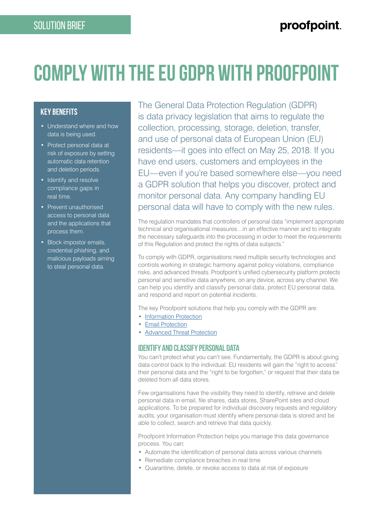# **COMPLY WITH THE EU GDPR WITH PROOFPOINT**

### **key benefits**

- Understand where and how data is being used.
- Protect personal data at risk of exposure by setting automatic data retention and deletion periods.
- Identify and resolve compliance gaps in real time.
- Prevent unauthorised access to personal data and the applications that process them.
- Block impostor emails, credential phishing, and malicious payloads aiming to steal personal data.

The General Data Protection Regulation (GDPR) is data privacy legislation that aims to regulate the collection, processing, storage, deletion, transfer, and use of personal data of European Union (EU) residents—it goes into effect on May 25, 2018. If you have end users, customers and employees in the EU—even if you're based somewhere else—you need a GDPR solution that helps you discover, protect and monitor personal data. Any company handling EU personal data will have to comply with the new rules.

The regulation mandates that controllers of personal data "implement appropriate technical and organisational measures…in an effective manner and to integrate the necessary safeguards into the processing in order to meet the requirements of this Regulation and protect the rights of data subjects."

To comply with GDPR, organisations need multiple security technologies and controls working in strategic harmony against policy violations, compliance risks, and advanced threats. Proofpoint's unified cybersecurity platform protects personal and sensitive data anywhere, on any device, across any channel. We can help you identify and classify personal data, protect EU personal data, and respond and report on potential incidents.

The key Proofpoint solutions that help you comply with the GDPR are:

- [Information Protection](https://www.proofpoint.com/us/product-family/information-protection)
- [Email Protection](https://www.proofpoint.com/us/product-family/email-protection)
- **[Advanced Threat Protection](https://www.proofpoint.com/us/product-family/advanced-threat-protection)**

#### **IDENTIFY AND CLASSIFY PERSONAL DATA**

You can't protect what you can't see. Fundamentally, the GDPR is about giving data control back to the individual. EU residents will gain the "right to access" their personal data and the "right to be forgotten," or request that their data be deleted from all data stores.

Few organisations have the visibility they need to identify, retrieve and delete personal data in email, file shares, data stores, SharePoint sites and cloud applications. To be prepared for individual discovery requests and regulatory audits, your organisation must identify where personal data is stored and be able to collect, search and retrieve that data quickly.

Proofpoint Information Protection helps you manage this data governance process. You can:

- Automate the identification of personal data across various channels
- Remediate compliance breaches in real time
- Quarantine, delete, or revoke access to data at risk of exposure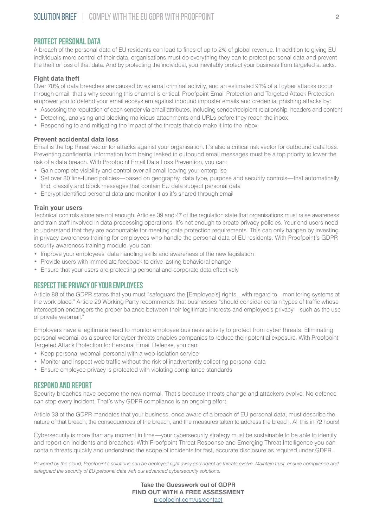#### **PROTECT PERSONAL DATA**

A breach of the personal data of EU residents can lead to fines of up to 2% of global revenue. In addition to giving EU individuals more control of their data, organisations must do everything they can to protect personal data and prevent the theft or loss of that data. And by protecting the individual, you inevitably protect your business from targeted attacks.

#### **Fight data theft**

Over 70% of data breaches are caused by external criminal activity, and an estimated 91% of all cyber attacks occur through email; that's why securing this channel is critical. Proofpoint Email Protection and Targeted Attack Protection empower you to defend your email ecosystem against inbound imposter emails and credential phishing attacks by:

- Assessing the reputation of each sender via email attributes, including sender/recipient relationship, headers and content
- Detecting, analysing and blocking malicious attachments and URLs before they reach the inbox
- Responding to and mitigating the impact of the threats that do make it into the inbox

#### **Prevent accidental data loss**

Email is the top threat vector for attacks against your organisation. It's also a critical risk vector for outbound data loss. Preventing confidential information from being leaked in outbound email messages must be a top priority to lower the risk of a data breach. With Proofpoint Email Data Loss Prevention, you can:

- Gain complete visibility and control over all email leaving your enterprise
- Set over 80 fine-tuned policies—based on geography, data type, purpose and security controls—that automatically find, classify and block messages that contain EU data subject personal data
- Encrypt identified personal data and monitor it as it's shared through email

#### **Train your users**

Technical controls alone are not enough. Articles 39 and 47 of the regulation state that organisations must raise awareness and train staff involved in data processing operations. It's not enough to create privacy policies. Your end users need to understand that they are accountable for meeting data protection requirements. This can only happen by investing in privacy awareness training for employees who handle the personal data of EU residents. With Proofpoint's GDPR security awareness training module, you can:

- Improve your employees' data handling skills and awareness of the new legislation
- Provide users with immediate feedback to drive lasting behavioral change
- Ensure that your users are protecting personal and corporate data effectively

#### **RESPECT THE PRIVACY OF YOUR EMPLOYEES**

Article 88 of the GDPR states that you must "safeguard the [Employee's] rights…with regard to…monitoring systems at the work place." Article 29 Working Party recommends that businesses "should consider certain types of traffic whose interception endangers the proper balance between their legitimate interests and employee's privacy—such as the use of private webmail."

Employers have a legitimate need to monitor employee business activity to protect from cyber threats. Eliminating personal webmail as a source for cyber threats enables companies to reduce their potential exposure. With Proofpoint Targeted Attack Protection for Personal Email Defense, you can:

- Keep personal webmail personal with a web-isolation service
- Monitor and inspect web traffic without the risk of inadvertently collecting personal data
- Ensure employee privacy is protected with violating compliance standards

#### **RESPOND AND REPORT**

Security breaches have become the new normal. That's because threats change and attackers evolve. No defence can stop every incident. That's why GDPR compliance is an ongoing effort.

Article 33 of the GDPR mandates that your business, once aware of a breach of EU personal data, must describe the nature of that breach, the consequences of the breach, and the measures taken to address the breach. All this in 72 hours!

Cybersecurity is more than any moment in time—your cybersecurity strategy must be sustainable to be able to identify and report on incidents and breaches. With Proofpoint Threat Response and Emerging Threat Intelligence you can contain threats quickly and understand the scope of incidents for fast, accurate disclosure as required under GDPR.

*Powered by the cloud, Proofpoint's solutions can be deployed right away and adapt as threats evolve. Maintain trust, ensure compliance and safeguard the security of EU personal data with our advanced cybersecurity solutions.*

> **Take the Guesswork out of GDPR FIND OUT WITH A FREE ASSESSMENT** [proofpoint.com/us/contact](https://www.proofpoint.com/us/contact)